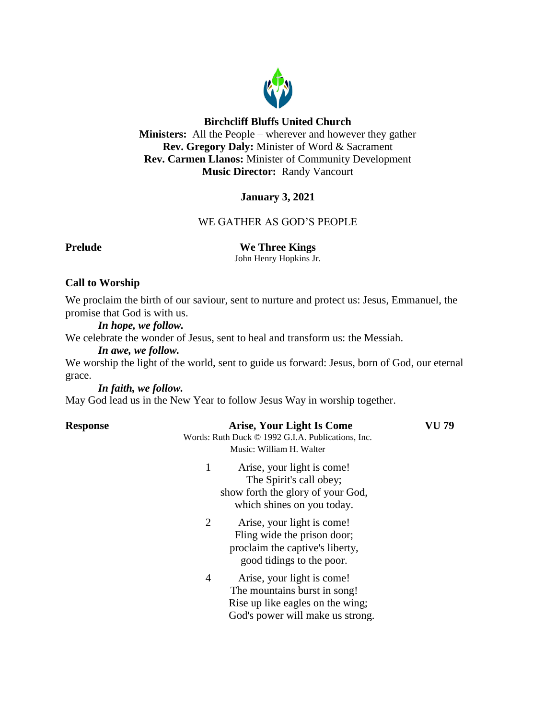

## **Birchcliff Bluffs United Church**

**Ministers:** All the People – wherever and however they gather **Rev. Gregory Daly:** Minister of Word & Sacrament **Rev. Carmen Llanos:** Minister of Community Development **Music Director:** Randy Vancourt

# **January 3, 2021**

## WE GATHER AS GOD'S PEOPLE

**Prelude We Three Kings** 

John Henry Hopkins Jr.

# **Call to Worship**

We proclaim the birth of our saviour, sent to nurture and protect us: Jesus, Emmanuel, the promise that God is with us.

*In hope, we follow.*

We celebrate the wonder of Jesus, sent to heal and transform us: the Messiah.

*In awe, we follow.*

We worship the light of the world, sent to guide us forward: Jesus, born of God, our eternal grace.

*In faith, we follow.*

May God lead us in the New Year to follow Jesus Way in worship together.

| <b>Response</b> | <b>Arise, Your Light Is Come</b><br>Words: Ruth Duck © 1992 G.I.A. Publications, Inc.<br>Music: William H. Walter                                    | VU 79 |
|-----------------|------------------------------------------------------------------------------------------------------------------------------------------------------|-------|
|                 | 1<br>Arise, your light is come!<br>The Spirit's call obey;<br>show forth the glory of your God,<br>which shines on you today.                        |       |
|                 | 2<br>Arise, your light is come!<br>Fling wide the prison door;<br>proclaim the captive's liberty,<br>good tidings to the poor.                       |       |
|                 | $\overline{4}$<br>Arise, your light is come!<br>The mountains burst in song!<br>Rise up like eagles on the wing;<br>God's power will make us strong. |       |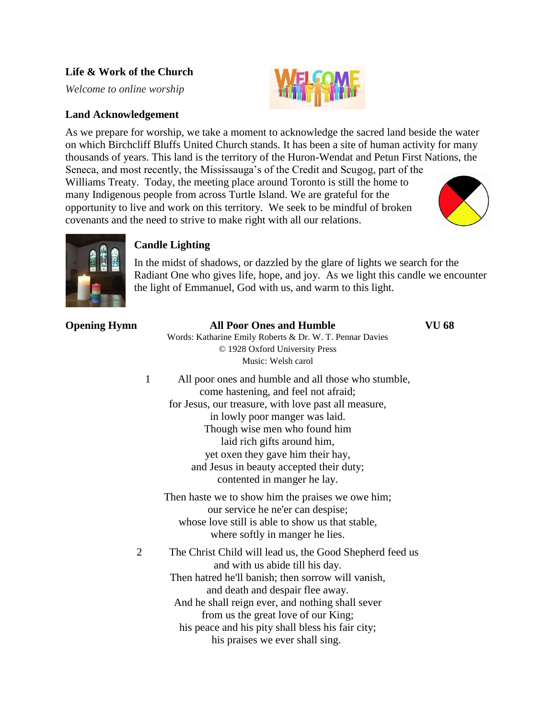# **Life & Work of the Church**

*Welcome to online worship*

# **Land Acknowledgement**

As we prepare for worship, we take a moment to acknowledge the sacred land beside the water on which Birchcliff Bluffs United Church stands. It has been a site of human activity for many thousands of years. This land is the territory of the Huron-Wendat and Petun First Nations, the Seneca, and most recently, the Mississauga's of the Credit and Scugog, part of the Williams Treaty. Today, the meeting place around Toronto is still the home to many Indigenous people from across Turtle Island. We are grateful for the opportunity to live and work on this territory. We seek to be mindful of broken





# **Candle Lighting**

covenants and the need to strive to make right with all our relations.

In the midst of shadows, or dazzled by the glare of lights we search for the Radiant One who gives life, hope, and joy. As we light this candle we encounter the light of Emmanuel, God with us, and warm to this light.

# **Opening Hymn All Poor Ones and Humble VU 68** Words: Katharine Emily Roberts & Dr. W. T. Pennar Davies © 1928 Oxford University Press Music: Welsh carol 1 All poor ones and humble and all those who stumble, come hastening, and feel not afraid; for Jesus, our treasure, with love past all measure, in lowly poor manger was laid. Though wise men who found him laid rich gifts around him, yet oxen they gave him their hay, and Jesus in beauty accepted their duty; contented in manger he lay. Then haste we to show him the praises we owe him; our service he ne'er can despise; whose love still is able to show us that stable, where softly in manger he lies. 2 The Christ Child will lead us, the Good Shepherd feed us and with us abide till his day. Then hatred he'll banish; then sorrow will vanish, and death and despair flee away. And he shall reign ever, and nothing shall sever from us the great love of our King; his peace and his pity shall bless his fair city;

his praises we ever shall sing.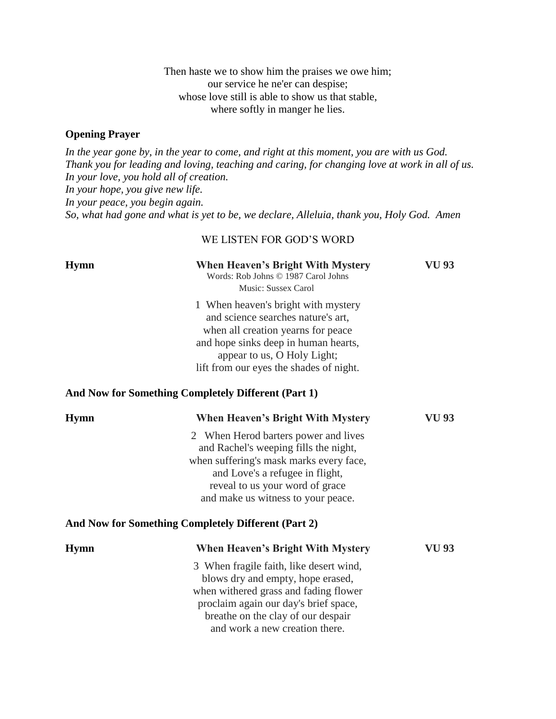Then haste we to show him the praises we owe him; our service he ne'er can despise; whose love still is able to show us that stable, where softly in manger he lies.

## **Opening Prayer**

*In the year gone by, in the year to come, and right at this moment, you are with us God. Thank you for leading and loving, teaching and caring, for changing love at work in all of us. In your love, you hold all of creation. In your hope, you give new life. In your peace, you begin again. So, what had gone and what is yet to be, we declare, Alleluia, thank you, Holy God. Amen*

### WE LISTEN FOR GOD'S WORD

| <b>Hymn</b> | <b>When Heaven's Bright With Mystery</b><br>Words: Rob Johns © 1987 Carol Johns<br>Music: Sussex Carol                                                                                                                                 | VU 93 |
|-------------|----------------------------------------------------------------------------------------------------------------------------------------------------------------------------------------------------------------------------------------|-------|
|             | 1 When heaven's bright with mystery<br>and science searches nature's art,<br>when all creation yearns for peace<br>and hope sinks deep in human hearts,<br>appear to us, O Holy Light;<br>lift from our eyes the shades of night.      |       |
|             | And Now for Something Completely Different (Part 1)                                                                                                                                                                                    |       |
| <b>Hymn</b> | <b>When Heaven's Bright With Mystery</b>                                                                                                                                                                                               | VU 93 |
|             | 2 When Herod barters power and lives<br>and Rachel's weeping fills the night,<br>when suffering's mask marks every face,<br>and Love's a refugee in flight,<br>reveal to us your word of grace<br>and make us witness to your peace.   |       |
|             | And Now for Something Completely Different (Part 2)                                                                                                                                                                                    |       |
| <b>Hymn</b> | <b>When Heaven's Bright With Mystery</b>                                                                                                                                                                                               | VU 93 |
|             | 3 When fragile faith, like desert wind,<br>blows dry and empty, hope erased,<br>when withered grass and fading flower<br>proclaim again our day's brief space,<br>breathe on the clay of our despair<br>and work a new creation there. |       |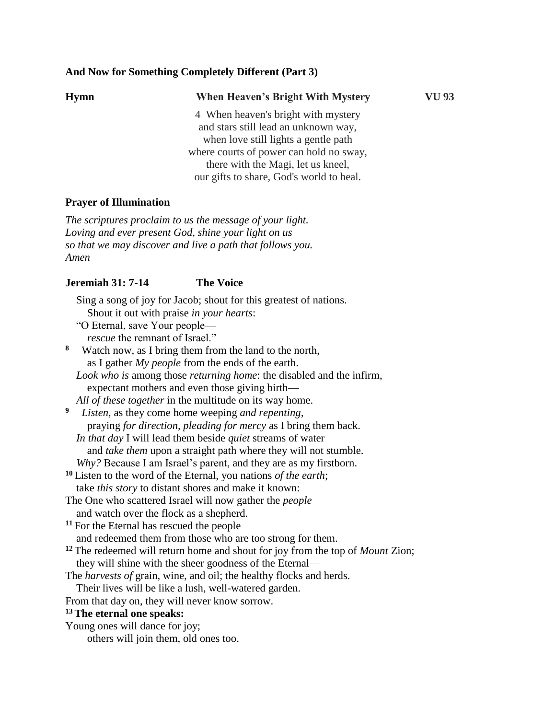## **And Now for Something Completely Different (Part 3)**

| <b>Hymn</b> | <b>When Heaven's Bright With Mystery</b> | VU 93 |
|-------------|------------------------------------------|-------|
|             | 4 When heaven's bright with mystery      |       |
|             | and stars still lead an unknown way,     |       |
|             | when love still lights a gentle path     |       |
|             | where courts of power can hold no sway,  |       |
|             | there with the Magi, let us kneel,       |       |
|             | our gifts to share, God's world to heal. |       |

## **Prayer of Illumination**

*The scriptures proclaim to us the message of your light. Loving and ever present God, shine your light on us so that we may discover and live a path that follows you. Amen*

#### **Jeremiah 31: 7-14 The Voice**

 Sing a song of joy for Jacob; shout for this greatest of nations. Shout it out with praise *in your hearts*:

"O Eternal, save Your people—

*rescue* the remnant of Israel."

**8** Watch now, as I bring them from the land to the north, as I gather *My people* from the ends of the earth.

 *Look who is* among those *returning home*: the disabled and the infirm, expectant mothers and even those giving birth—

*All of these together* in the multitude on its way home.

**9** *Listen,* as they come home weeping *and repenting,* praying *for direction, pleading for mercy* as I bring them back. *In that day* I will lead them beside *quiet* streams of water and *take them* upon a straight path where they will not stumble. *Why?* Because I am Israel's parent, and they are as my firstborn.

- **<sup>10</sup>** Listen to the word of the Eternal, you nations *of the earth*;
- take *this story* to distant shores and make it known:
- The One who scattered Israel will now gather the *people* and watch over the flock as a shepherd.

**<sup>11</sup>** For the Eternal has rescued the people and redeemed them from those who are too strong for them.

**<sup>12</sup>** The redeemed will return home and shout for joy from the top of *Mount* Zion;

they will shine with the sheer goodness of the Eternal—

The *harvests of* grain, wine, and oil; the healthy flocks and herds.

Their lives will be like a lush, well-watered garden.

From that day on, they will never know sorrow.

#### **<sup>13</sup>The eternal one speaks:**

Young ones will dance for joy; others will join them, old ones too.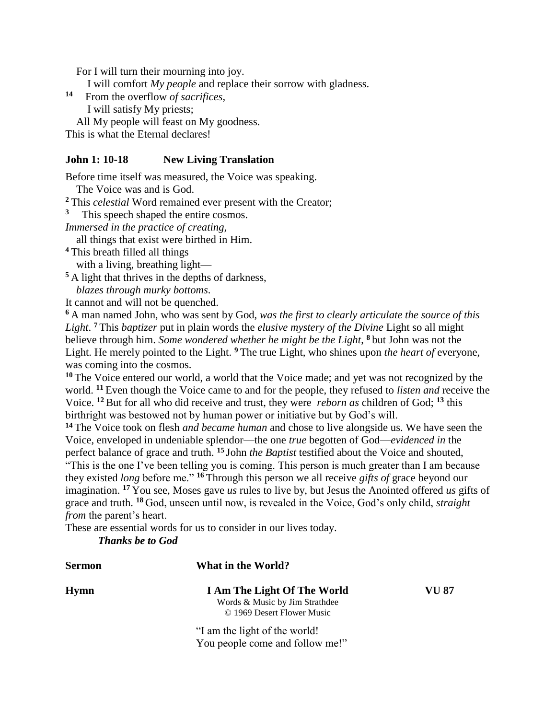For I will turn their mourning into joy.

I will comfort *My people* and replace their sorrow with gladness.

- **14** From the overflow *of sacrifices,*
	- I will satisfy My priests;

All My people will feast on My goodness.

This is what the Eternal declares!

## **John 1: 10-18 New Living Translation**

Before time itself was measured, the Voice was speaking.

The Voice was and is God.

**<sup>2</sup>** This *celestial* Word remained ever present with the Creator;

- **3** This speech shaped the entire cosmos.
- *Immersed in the practice of creating,*

all things that exist were birthed in Him.

**<sup>4</sup>** This breath filled all things

with a living, breathing light—

**<sup>5</sup>** A light that thrives in the depths of darkness,

*blazes through murky bottoms*.

It cannot and will not be quenched.

**<sup>6</sup>** A man named John, who was sent by God, *was the first to clearly articulate the source of this Light*. **<sup>7</sup>** This *baptizer* put in plain words the *elusive mystery of the Divine* Light so all might believe through him. *Some wondered whether he might be the Light*, **<sup>8</sup>** but John was not the Light. He merely pointed to the Light. **<sup>9</sup>** The true Light, who shines upon *the heart of* everyone, was coming into the cosmos.

**<sup>10</sup>** The Voice entered our world, a world that the Voice made; and yet was not recognized by the world. **<sup>11</sup>** Even though the Voice came to and for the people, they refused to *listen and* receive the Voice. **<sup>12</sup>** But for all who did receive and trust, they were *reborn as* children of God; **<sup>13</sup>** this birthright was bestowed not by human power or initiative but by God's will.

**<sup>14</sup>** The Voice took on flesh *and became human* and chose to live alongside us. We have seen the Voice, enveloped in undeniable splendor—the one *true* begotten of God—*evidenced in* the perfect balance of grace and truth. **<sup>15</sup>** John *the Baptist* testified about the Voice and shouted,

"This is the one I've been telling you is coming. This person is much greater than I am because they existed *long* before me." **<sup>16</sup>** Through this person we all receive *gifts of* grace beyond our imagination. **<sup>17</sup>** You see, Moses gave *us* rules to live by, but Jesus the Anointed offered *us* gifts of grace and truth. **<sup>18</sup>** God, unseen until now, is revealed in the Voice, God's only child, *straight from* the parent's heart.

These are essential words for us to consider in our lives today.

*Thanks be to God*

| Sermon | What in the World?                                                                          |       |
|--------|---------------------------------------------------------------------------------------------|-------|
| Hymn   | I Am The Light Of The World<br>Words & Music by Jim Strathdee<br>© 1969 Desert Flower Music | VU 87 |
|        | "I am the light of the world!"<br>You people come and follow me!"                           |       |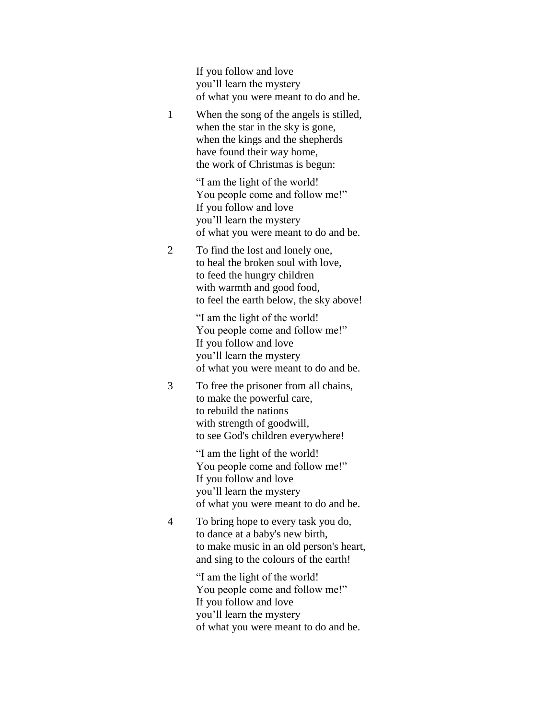If you follow and love you'll learn the mystery of what you were meant to do and be.

1 When the song of the angels is stilled, when the star in the sky is gone, when the kings and the shepherds have found their way home, the work of Christmas is begun:

> "I am the light of the world! You people come and follow me!" If you follow and love you'll learn the mystery of what you were meant to do and be.

2 To find the lost and lonely one, to heal the broken soul with love, to feed the hungry children with warmth and good food, to feel the earth below, the sky above!

> "I am the light of the world! You people come and follow me!" If you follow and love you'll learn the mystery of what you were meant to do and be.

3 To free the prisoner from all chains, to make the powerful care, to rebuild the nations with strength of goodwill, to see God's children everywhere!

> "I am the light of the world! You people come and follow me!" If you follow and love you'll learn the mystery of what you were meant to do and be.

4 To bring hope to every task you do, to dance at a baby's new birth, to make music in an old person's heart, and sing to the colours of the earth!

> "I am the light of the world! You people come and follow me!" If you follow and love you'll learn the mystery of what you were meant to do and be.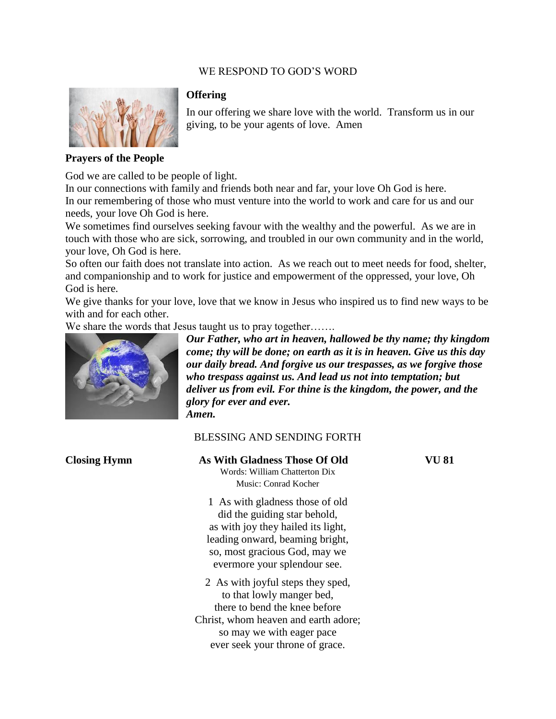## WE RESPOND TO GOD'S WORD



#### **Offering**

In our offering we share love with the world. Transform us in our giving, to be your agents of love. Amen

#### **Prayers of the People**

God we are called to be people of light.

In our connections with family and friends both near and far, your love Oh God is here. In our remembering of those who must venture into the world to work and care for us and our needs, your love Oh God is here.

We sometimes find ourselves seeking favour with the wealthy and the powerful. As we are in touch with those who are sick, sorrowing, and troubled in our own community and in the world, your love, Oh God is here.

So often our faith does not translate into action. As we reach out to meet needs for food, shelter, and companionship and to work for justice and empowerment of the oppressed, your love, Oh God is here.

We give thanks for your love, love that we know in Jesus who inspired us to find new ways to be with and for each other.

We share the words that Jesus taught us to pray together…….



*Our Father, who art in heaven, hallowed be thy name; thy kingdom come; thy will be done; on earth as it is in heaven. Give us this day our daily bread. And forgive us our trespasses, as we forgive those who trespass against us. And lead us not into temptation; but deliver us from evil. For thine is the kingdom, the power, and the glory for ever and ever. Amen.*

## BLESSING AND SENDING FORTH

| <b>Closing Hymn</b> | As With Gladness Those Of Old<br>Words: William Chatterton Dix<br>Music: Conrad Kocher                                                                                                                    | VU 81 |
|---------------------|-----------------------------------------------------------------------------------------------------------------------------------------------------------------------------------------------------------|-------|
|                     | 1 As with gladness those of old<br>did the guiding star behold,<br>as with joy they hailed its light,<br>leading onward, beaming bright,<br>so, most gracious God, may we<br>evermore your splendour see. |       |
|                     | 2 As with joyful steps they sped,<br>to that lowly manger bed,<br>there to bend the knee before<br>Christ, whom heaven and earth adore;<br>so may we with eager pace<br>ever seek your throne of grace.   |       |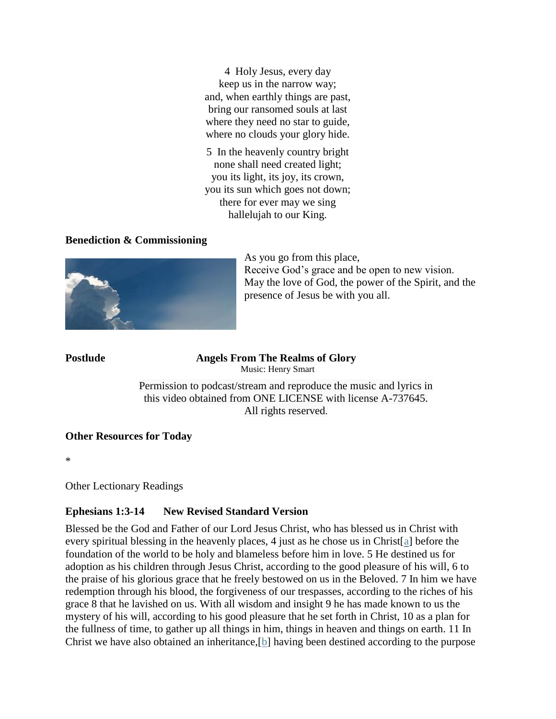4 Holy Jesus, every day keep us in the narrow way; and, when earthly things are past, bring our ransomed souls at last where they need no star to guide, where no clouds your glory hide.

5 In the heavenly country bright none shall need created light; you its light, its joy, its crown, you its sun which goes not down; there for ever may we sing hallelujah to our King.

## **Benediction & Commissioning**



As you go from this place, Receive God's grace and be open to new vision. May the love of God, the power of the Spirit, and the presence of Jesus be with you all.

**Postlude Angels From The Realms of Glory** Music: Henry Smart

> Permission to podcast/stream and reproduce the music and lyrics in this video obtained from ONE LICENSE with license A-737645. All rights reserved.

## **Other Resources for Today**

\*

Other Lectionary Readings

# **Ephesians 1:3-14 New Revised Standard Version**

Blessed be the God and Father of our Lord Jesus Christ, who has blessed us in Christ with every spiritual blessing in the heavenly places, 4 just as he chose us in Christ[\[a\]](https://www.biblegateway.com/passage/?search=Ephesians+1%3A+3-14&version=NRSV#fen-NRSV-29194a) before the foundation of the world to be holy and blameless before him in love. 5 He destined us for adoption as his children through Jesus Christ, according to the good pleasure of his will, 6 to the praise of his glorious grace that he freely bestowed on us in the Beloved. 7 In him we have redemption through his blood, the forgiveness of our trespasses, according to the riches of his grace 8 that he lavished on us. With all wisdom and insight 9 he has made known to us the mystery of his will, according to his good pleasure that he set forth in Christ, 10 as a plan for the fullness of time, to gather up all things in him, things in heaven and things on earth. 11 In Christ we have also obtained an inheritance,[\[b\]](https://www.biblegateway.com/passage/?search=Ephesians+1%3A+3-14&version=NRSV#fen-NRSV-29201b) having been destined according to the purpose